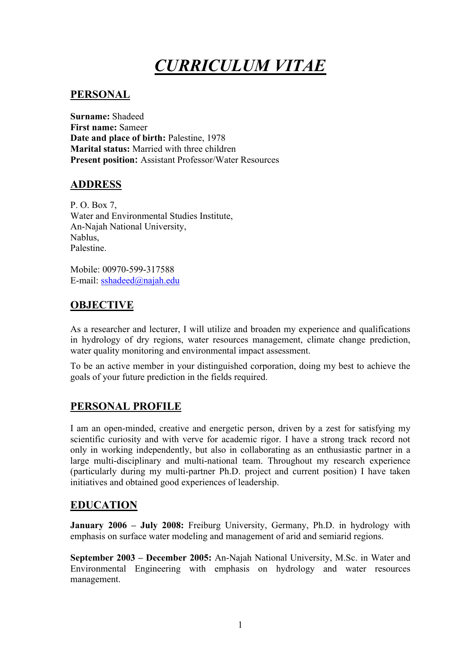# *CURRICULUM VITAE*

## **PERSONAL**

**Surname:** Shadeed **First name:** Sameer Date and place of birth: Palestine, 1978 **Marital status:** Married with three children **Present position:** Assistant Professor/Water Resources

## **ADDRESS**

P. O. Box 7, Water and Environmental Studies Institute, An-Najah National University, Nablus, Palestine.

Mobile: 00970-599-317588 E-mail: sshadeed@najah.edu

## **OBJECTIVE**

As a researcher and lecturer, I will utilize and broaden my experience and qualifications in hydrology of dry regions, water resources management, climate change prediction, water quality monitoring and environmental impact assessment.

To be an active member in your distinguished corporation, doing my best to achieve the goals of your future prediction in the fields required.

# **PERSONAL PROFILE**

I am an open-minded, creative and energetic person, driven by a zest for satisfying my scientific curiosity and with verve for academic rigor. I have a strong track record not only in working independently, but also in collaborating as an enthusiastic partner in a large multi-disciplinary and multi-national team. Throughout my research experience (particularly during my multi-partner Ph.D. project and current position) I have taken initiatives and obtained good experiences of leadership.

## **EDUCATION**

**January 2006 – July 2008:** Freiburg University, Germany, Ph.D. in hydrology with emphasis on surface water modeling and management of arid and semiarid regions.

**September 2003 – December 2005:** An-Najah National University, M.Sc. in Water and Environmental Engineering with emphasis on hydrology and water resources management.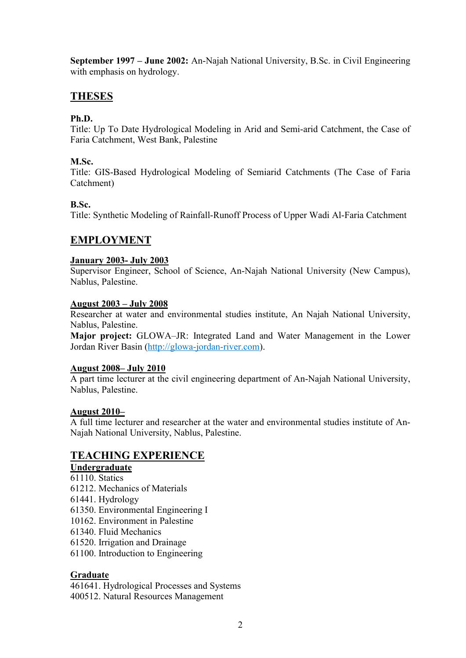**September 1997 – June 2002:** An-Najah National University, B.Sc. in Civil Engineering with emphasis on hydrology.

# **THESES**

## **Ph.D.**

Title: Up To Date Hydrological Modeling in Arid and Semi-arid Catchment, the Case of Faria Catchment, West Bank, Palestine

#### **M.Sc.**

Title: GIS-Based Hydrological Modeling of Semiarid Catchments (The Case of Faria Catchment)

## **B.Sc.**

Title: Synthetic Modeling of Rainfall-Runoff Process of Upper Wadi Al-Faria Catchment

## **EMPLOYMENT**

#### **January 2003- July 2003**

Supervisor Engineer, School of Science, An-Najah National University (New Campus), Nablus, Palestine.

#### **August 2003 – July 2008**

Researcher at water and environmental studies institute, An Najah National University, Nablus, Palestine.

**Major project:** GLOWA–JR: Integrated Land and Water Management in the Lower Jordan River Basin (http://glowa-jordan-river.com).

#### **August 2008– July 2010**

A part time lecturer at the civil engineering department of An-Najah National University, Nablus, Palestine.

#### **August 2010–**

A full time lecturer and researcher at the water and environmental studies institute of An-Najah National University, Nablus, Palestine.

## **TEACHING EXPERIENCE**

## **Undergraduate**

- 61110. Statics
- 61212. Mechanics of Materials
- 61441. Hydrology
- 61350. Environmental Engineering I
- 10162. Environment in Palestine
- 61340. Fluid Mechanics
- 61520. Irrigation and Drainage
- 61100. Introduction to Engineering

## **Graduate**

461641. Hydrological Processes and Systems 400512. Natural Resources Management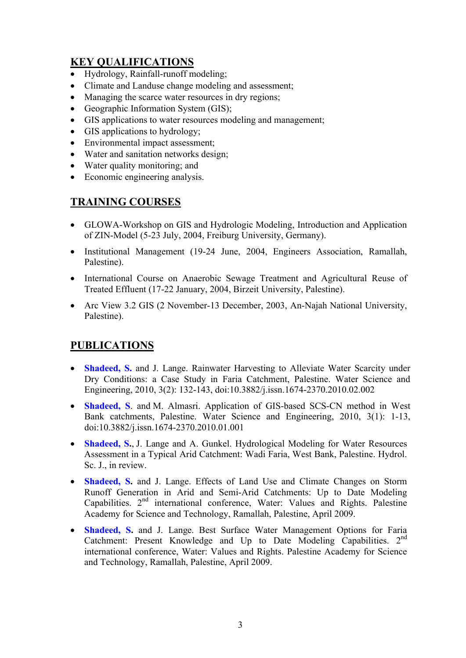# **KEY QUALIFICATIONS**

- Hydrology, Rainfall-runoff modeling;
- Climate and Landuse change modeling and assessment:
- Managing the scarce water resources in dry regions;
- Geographic Information System (GIS);
- GIS applications to water resources modeling and management;
- GIS applications to hydrology;
- Environmental impact assessment;
- Water and sanitation networks design;
- Water quality monitoring; and
- Economic engineering analysis.

# **TRAINING COURSES**

- GLOWA-Workshop on GIS and Hydrologic Modeling, Introduction and Application of ZIN-Model (5-23 July, 2004, Freiburg University, Germany).
- Institutional Management (19-24 June, 2004, Engineers Association, Ramallah, Palestine).
- International Course on Anaerobic Sewage Treatment and Agricultural Reuse of Treated Effluent (17-22 January, 2004, Birzeit University, Palestine).
- Arc View 3.2 GIS (2 November-13 December, 2003, An-Najah National University, Palestine).

# **PUBLICATIONS**

- **Shadeed, S.** and J. Lange. Rainwater Harvesting to Alleviate Water Scarcity under Dry Conditions: a Case Study in Faria Catchment, Palestine. Water Science and Engineering, 2010, 3(2): 132-143, doi:10.3882/j.issn.1674-2370.2010.02.002
- **Shadeed, S**. and M. Almasri. Application of GIS-based SCS-CN method in West Bank catchments, Palestine. Water Science and Engineering, 2010, 3(1): 1-13, doi:10.3882/j.issn.1674-2370.2010.01.001
- **Shadeed, S.**, J. Lange and A. Gunkel. Hydrological Modeling for Water Resources Assessment in a Typical Arid Catchment: Wadi Faria, West Bank, Palestine. Hydrol. Sc. J., in review.
- **Shadeed, S.** and J. Lange. Effects of Land Use and Climate Changes on Storm Runoff Generation in Arid and Semi-Arid Catchments: Up to Date Modeling Capabilities. 2nd international conference, Water: Values and Rights. Palestine Academy for Science and Technology, Ramallah, Palestine, April 2009.
- **Shadeed, S.** and J. Lange. Best Surface Water Management Options for Faria Catchment: Present Knowledge and Up to Date Modeling Capabilities. 2<sup>nd</sup> international conference, Water: Values and Rights. Palestine Academy for Science and Technology, Ramallah, Palestine, April 2009.